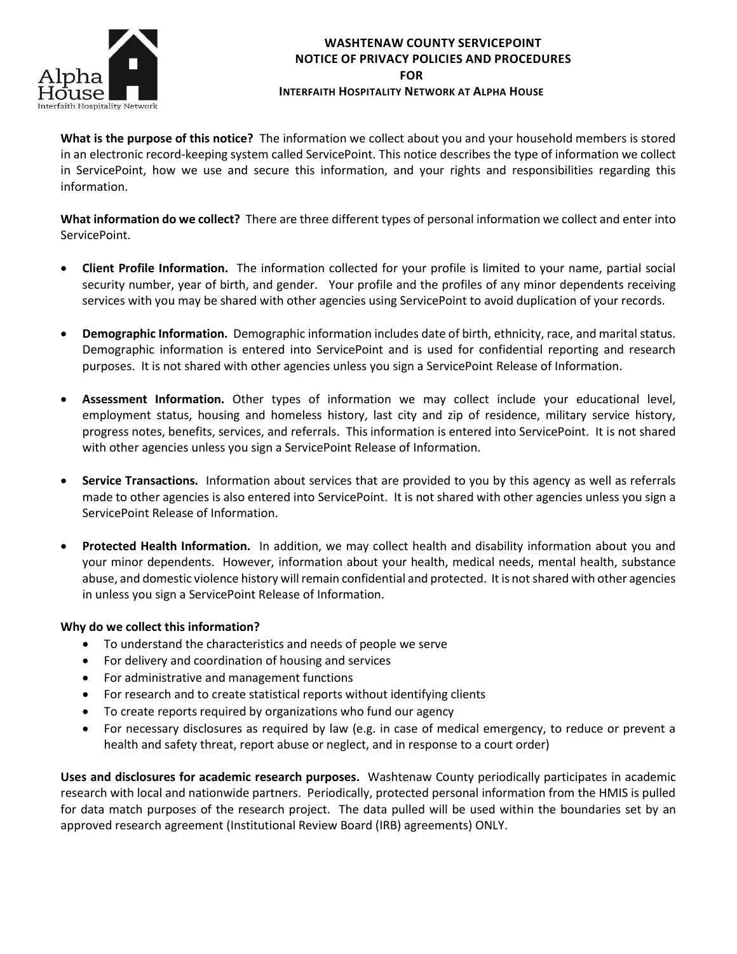

## **WASHTENAW COUNTY SERVICEPOINT NOTICE OF PRIVACY POLICIES AND PROCEDURES FOR**

## **INTERFAITH HOSPITALITY NETWORK AT ALPHA HOUSE**

**What is the purpose of this notice?** The information we collect about you and your household members is stored in an electronic record-keeping system called ServicePoint. This notice describes the type of information we collect in ServicePoint, how we use and secure this information, and your rights and responsibilities regarding this information.

**What information do we collect?** There are three different types of personal information we collect and enter into ServicePoint.

- **Client Profile Information.** The information collected for your profile is limited to your name, partial social security number, year of birth, and gender. Your profile and the profiles of any minor dependents receiving services with you may be shared with other agencies using ServicePoint to avoid duplication of your records.
- **Demographic Information.** Demographic information includes date of birth, ethnicity, race, and marital status. Demographic information is entered into ServicePoint and is used for confidential reporting and research purposes. It is not shared with other agencies unless you sign a ServicePoint Release of Information.
- **Assessment Information.** Other types of information we may collect include your educational level, employment status, housing and homeless history, last city and zip of residence, military service history, progress notes, benefits, services, and referrals. This information is entered into ServicePoint. It is not shared with other agencies unless you sign a ServicePoint Release of Information.
- **Service Transactions.** Information about services that are provided to you by this agency as well as referrals made to other agencies is also entered into ServicePoint. It is not shared with other agencies unless you sign a ServicePoint Release of Information.
- **Protected Health Information.** In addition, we may collect health and disability information about you and your minor dependents. However, information about your health, medical needs, mental health, substance abuse, and domestic violence history will remain confidential and protected. It is not shared with other agencies in unless you sign a ServicePoint Release of Information.

## **Why do we collect this information?**

- To understand the characteristics and needs of people we serve
- For delivery and coordination of housing and services
- For administrative and management functions
- For research and to create statistical reports without identifying clients
- To create reports required by organizations who fund our agency
- For necessary disclosures as required by law (e.g. in case of medical emergency, to reduce or prevent a health and safety threat, report abuse or neglect, and in response to a court order)

**Uses and disclosures for academic research purposes.** Washtenaw County periodically participates in academic research with local and nationwide partners. Periodically, protected personal information from the HMIS is pulled for data match purposes of the research project. The data pulled will be used within the boundaries set by an approved research agreement (Institutional Review Board (IRB) agreements) ONLY.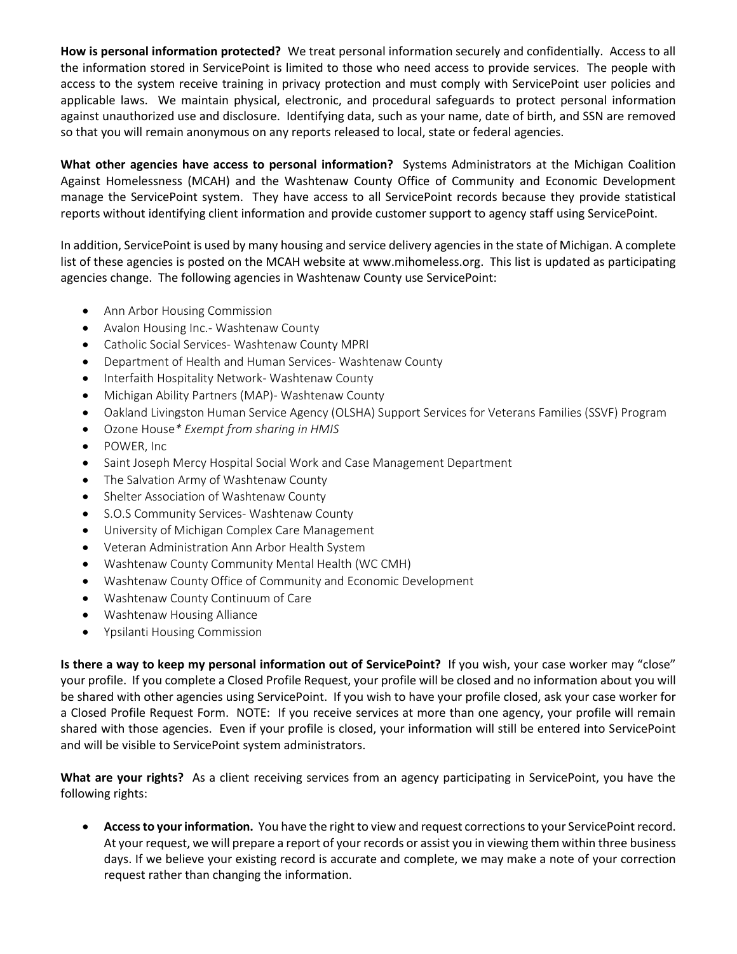**How is personal information protected?** We treat personal information securely and confidentially. Access to all the information stored in ServicePoint is limited to those who need access to provide services. The people with access to the system receive training in privacy protection and must comply with ServicePoint user policies and applicable laws. We maintain physical, electronic, and procedural safeguards to protect personal information against unauthorized use and disclosure. Identifying data, such as your name, date of birth, and SSN are removed so that you will remain anonymous on any reports released to local, state or federal agencies.

**What other agencies have access to personal information?** Systems Administrators at the Michigan Coalition Against Homelessness (MCAH) and the Washtenaw County Office of Community and Economic Development manage the ServicePoint system. They have access to all ServicePoint records because they provide statistical reports without identifying client information and provide customer support to agency staff using ServicePoint.

In addition, ServicePoint is used by many housing and service delivery agencies in the state of Michigan. A complete list of these agencies is posted on the MCAH website at [www.mihomeless.org.](http://www.mihomeless.org/) This list is updated as participating agencies change. The following agencies in Washtenaw County use ServicePoint:

- Ann Arbor Housing Commission
- Avalon Housing Inc. Washtenaw County
- Catholic Social Services- Washtenaw County MPRI
- Department of Health and Human Services- Washtenaw County
- Interfaith Hospitality Network- Washtenaw County
- Michigan Ability Partners (MAP)- Washtenaw County
- Oakland Livingston Human Service Agency (OLSHA) Support Services for Veterans Families (SSVF) Program
- Ozone House*\* Exempt from sharing in HMIS*
- POWER, Inc
- Saint Joseph Mercy Hospital Social Work and Case Management Department
- The Salvation Army of Washtenaw County
- Shelter Association of Washtenaw County
- S.O.S Community Services- Washtenaw County
- University of Michigan Complex Care Management
- Veteran Administration Ann Arbor Health System
- Washtenaw County Community Mental Health (WC CMH)
- Washtenaw County Office of Community and Economic Development
- Washtenaw County Continuum of Care
- Washtenaw Housing Alliance
- Ypsilanti Housing Commission

**Is there a way to keep my personal information out of ServicePoint?** If you wish, your case worker may "close" your profile. If you complete a Closed Profile Request, your profile will be closed and no information about you will be shared with other agencies using ServicePoint. If you wish to have your profile closed, ask your case worker for a Closed Profile Request Form. NOTE: If you receive services at more than one agency, your profile will remain shared with those agencies. Even if your profile is closed, your information will still be entered into ServicePoint and will be visible to ServicePoint system administrators.

**What are your rights?** As a client receiving services from an agency participating in ServicePoint, you have the following rights:

 **Access to your information.** You have the right to view and request corrections to your ServicePoint record. At your request, we will prepare a report of your records or assist you in viewing them within three business days. If we believe your existing record is accurate and complete, we may make a note of your correction request rather than changing the information.